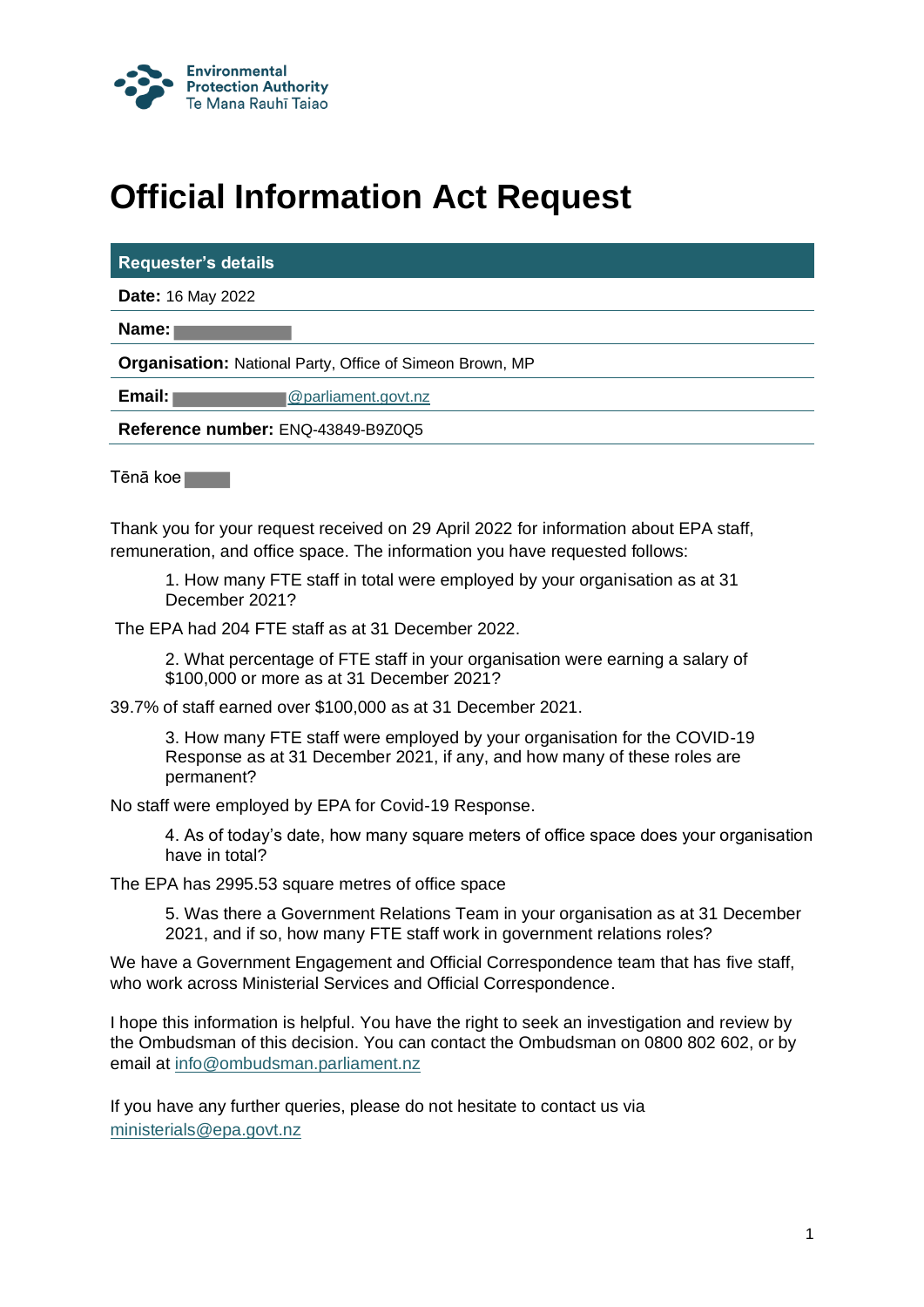

## **Official Information Act Request**

|  | <b>Requester's details</b> |
|--|----------------------------|

**Date:** 16 May 2022

**Name:** 

**Organisation:** National Party, Office of Simeon Brown, MP

**Email: and Email: Constant @parliament.govt.nz** 

**Reference number:** ENQ-43849-B9Z0Q5

Tēnā koe

Thank you for your request received on 29 April 2022 for information about EPA staff, remuneration, and office space. The information you have requested follows:

1. How many FTE staff in total were employed by your organisation as at 31 December 2021?

The EPA had 204 FTE staff as at 31 December 2022.

2. What percentage of FTE staff in your organisation were earning a salary of \$100,000 or more as at 31 December 2021?

39.7% of staff earned over \$100,000 as at 31 December 2021.

3. How many FTE staff were employed by your organisation for the COVID-19 Response as at 31 December 2021, if any, and how many of these roles are permanent?

No staff were employed by EPA for Covid-19 Response.

4. As of today's date, how many square meters of office space does your organisation have in total?

The EPA has 2995.53 square metres of office space

5. Was there a Government Relations Team in your organisation as at 31 December 2021, and if so, how many FTE staff work in government relations roles?

We have a Government Engagement and Official Correspondence team that has five staff, who work across Ministerial Services and Official Correspondence.

I hope this information is helpful. You have the right to seek an investigation and review by the Ombudsman of this decision. You can contact the Ombudsman on 0800 802 602, or by email at info@ombudsman.parliament.nz

If you have any further queries, please do not hesitate to contact us via [ministerials@epa.govt.nz](mailto:ministerials@epa.govt.nz)